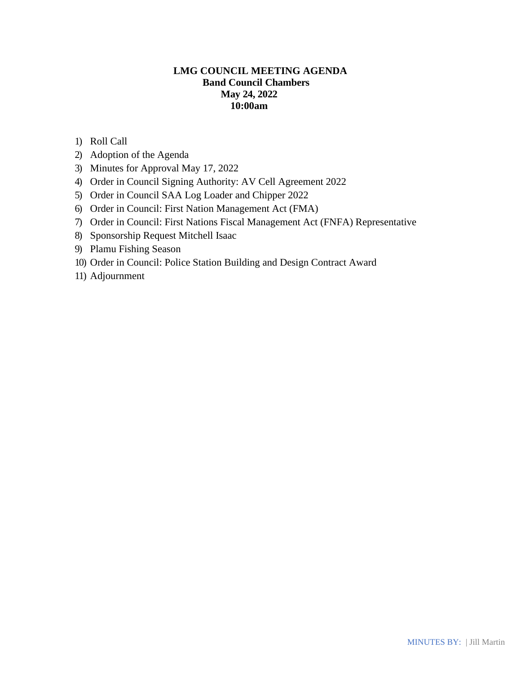# **LMG COUNCIL MEETING AGENDA Band Council Chambers May 24, 2022 10:00am**

- 1) Roll Call
- 2) Adoption of the Agenda
- 3) Minutes for Approval May 17, 2022
- 4) Order in Council Signing Authority: AV Cell Agreement 2022
- 5) Order in Council SAA Log Loader and Chipper 2022
- 6) Order in Council: First Nation Management Act (FMA)
- 7) Order in Council: First Nations Fiscal Management Act (FNFA) Representative
- 8) Sponsorship Request Mitchell Isaac
- 9) Plamu Fishing Season
- 10) Order in Council: Police Station Building and Design Contract Award
- 11) Adjournment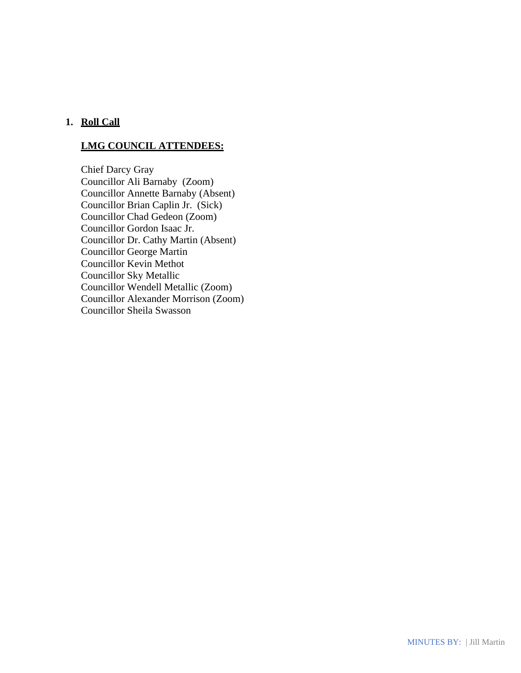# **1. Roll Call**

## **LMG COUNCIL ATTENDEES:**

Chief Darcy Gray Councillor Ali Barnaby (Zoom) Councillor Annette Barnaby (Absent) Councillor Brian Caplin Jr. (Sick) Councillor Chad Gedeon (Zoom) Councillor Gordon Isaac Jr. Councillor Dr. Cathy Martin (Absent) Councillor George Martin Councillor Kevin Methot Councillor Sky Metallic Councillor Wendell Metallic (Zoom) Councillor Alexander Morrison (Zoom) Councillor Sheila Swasson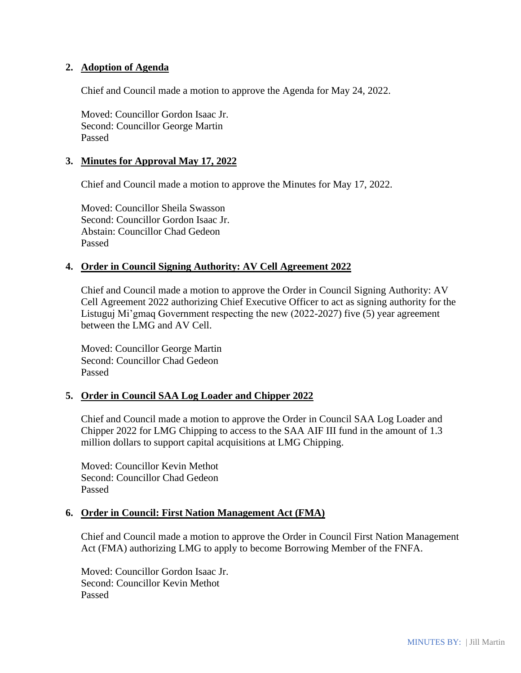### **2. Adoption of Agenda**

Chief and Council made a motion to approve the Agenda for May 24, 2022.

Moved: Councillor Gordon Isaac Jr. Second: Councillor George Martin Passed

### **3. Minutes for Approval May 17, 2022**

Chief and Council made a motion to approve the Minutes for May 17, 2022.

Moved: Councillor Sheila Swasson Second: Councillor Gordon Isaac Jr. Abstain: Councillor Chad Gedeon Passed

#### **4. Order in Council Signing Authority: AV Cell Agreement 2022**

Chief and Council made a motion to approve the Order in Council Signing Authority: AV Cell Agreement 2022 authorizing Chief Executive Officer to act as signing authority for the Listuguj Mi'gmaq Government respecting the new (2022-2027) five (5) year agreement between the LMG and AV Cell.

Moved: Councillor George Martin Second: Councillor Chad Gedeon Passed

### **5. Order in Council SAA Log Loader and Chipper 2022**

Chief and Council made a motion to approve the Order in Council SAA Log Loader and Chipper 2022 for LMG Chipping to access to the SAA AIF III fund in the amount of 1.3 million dollars to support capital acquisitions at LMG Chipping.

Moved: Councillor Kevin Methot Second: Councillor Chad Gedeon Passed

#### **6. Order in Council: First Nation Management Act (FMA)**

Chief and Council made a motion to approve the Order in Council First Nation Management Act (FMA) authorizing LMG to apply to become Borrowing Member of the FNFA.

Moved: Councillor Gordon Isaac Jr. Second: Councillor Kevin Methot Passed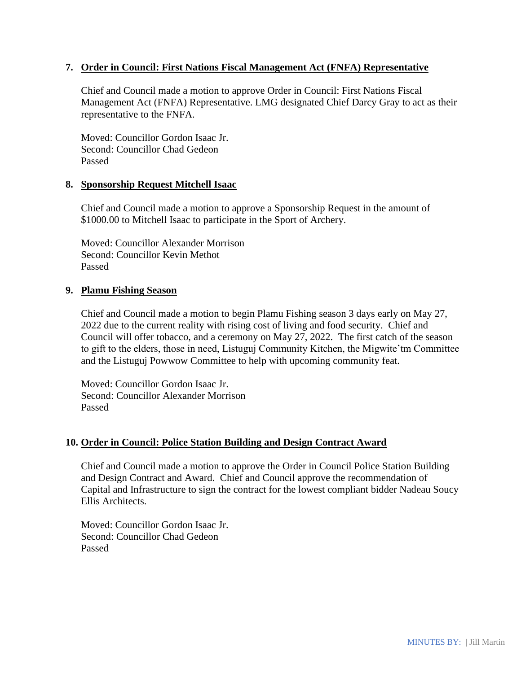### **7. Order in Council: First Nations Fiscal Management Act (FNFA) Representative**

Chief and Council made a motion to approve Order in Council: First Nations Fiscal Management Act (FNFA) Representative. LMG designated Chief Darcy Gray to act as their representative to the FNFA.

Moved: Councillor Gordon Isaac Jr. Second: Councillor Chad Gedeon Passed

#### **8. Sponsorship Request Mitchell Isaac**

Chief and Council made a motion to approve a Sponsorship Request in the amount of \$1000.00 to Mitchell Isaac to participate in the Sport of Archery.

Moved: Councillor Alexander Morrison Second: Councillor Kevin Methot Passed

### **9. Plamu Fishing Season**

Chief and Council made a motion to begin Plamu Fishing season 3 days early on May 27, 2022 due to the current reality with rising cost of living and food security. Chief and Council will offer tobacco, and a ceremony on May 27, 2022. The first catch of the season to gift to the elders, those in need, Listuguj Community Kitchen, the Migwite'tm Committee and the Listuguj Powwow Committee to help with upcoming community feat.

Moved: Councillor Gordon Isaac Jr. Second: Councillor Alexander Morrison Passed

### **10. Order in Council: Police Station Building and Design Contract Award**

Chief and Council made a motion to approve the Order in Council Police Station Building and Design Contract and Award. Chief and Council approve the recommendation of Capital and Infrastructure to sign the contract for the lowest compliant bidder Nadeau Soucy Ellis Architects.

Moved: Councillor Gordon Isaac Jr. Second: Councillor Chad Gedeon Passed